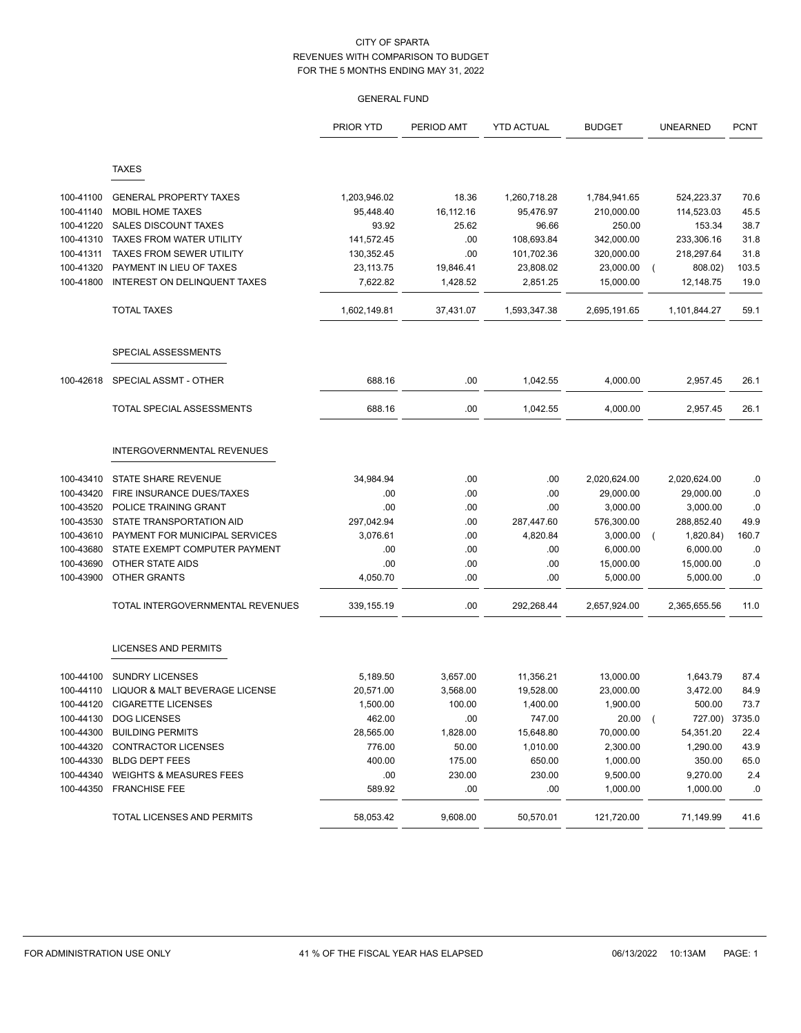|           |                                    | <b>PRIOR YTD</b> | PERIOD AMT | <b>YTD ACTUAL</b> | <b>BUDGET</b> | <b>UNEARNED</b> | <b>PCNT</b> |
|-----------|------------------------------------|------------------|------------|-------------------|---------------|-----------------|-------------|
|           | <b>TAXES</b>                       |                  |            |                   |               |                 |             |
|           |                                    |                  |            |                   |               |                 |             |
| 100-41100 | <b>GENERAL PROPERTY TAXES</b>      | 1,203,946.02     | 18.36      | 1,260,718.28      | 1,784,941.65  | 524,223.37      | 70.6        |
| 100-41140 | <b>MOBIL HOME TAXES</b>            | 95,448.40        | 16,112.16  | 95,476.97         | 210,000.00    | 114,523.03      | 45.5        |
| 100-41220 | <b>SALES DISCOUNT TAXES</b>        | 93.92            | 25.62      | 96.66             | 250.00        | 153.34          | 38.7        |
| 100-41310 | <b>TAXES FROM WATER UTILITY</b>    | 141,572.45       | .00        | 108,693.84        | 342,000.00    | 233,306.16      | 31.8        |
| 100-41311 | <b>TAXES FROM SEWER UTILITY</b>    | 130,352.45       | .00        | 101,702.36        | 320,000.00    | 218,297.64      | 31.8        |
| 100-41320 | PAYMENT IN LIEU OF TAXES           | 23,113.75        | 19,846.41  | 23,808.02         | 23,000.00     | 808.02)         | 103.5       |
| 100-41800 | INTEREST ON DELINQUENT TAXES       | 7,622.82         | 1,428.52   | 2,851.25          | 15,000.00     | 12,148.75       | 19.0        |
|           | <b>TOTAL TAXES</b>                 | 1,602,149.81     | 37,431.07  | 1,593,347.38      | 2,695,191.65  | 1,101,844.27    | 59.1        |
|           | SPECIAL ASSESSMENTS                |                  |            |                   |               |                 |             |
| 100-42618 | SPECIAL ASSMT - OTHER              | 688.16           | .00.       | 1,042.55          | 4,000.00      | 2,957.45        | 26.1        |
|           | TOTAL SPECIAL ASSESSMENTS          | 688.16           | .00.       | 1,042.55          | 4,000.00      | 2,957.45        | 26.1        |
|           | INTERGOVERNMENTAL REVENUES         |                  |            |                   |               |                 |             |
| 100-43410 | STATE SHARE REVENUE                | 34,984.94        | .00        | .00               | 2,020,624.00  | 2,020,624.00    | .0          |
| 100-43420 | FIRE INSURANCE DUES/TAXES          | .00              | .00.       | .00               | 29,000.00     | 29,000.00       | .0          |
| 100-43520 | POLICE TRAINING GRANT              | .00              | .00.       | .00               | 3,000.00      | 3,000.00        | .0          |
| 100-43530 | STATE TRANSPORTATION AID           | 297,042.94       | .00        | 287,447.60        | 576,300.00    | 288,852.40      | 49.9        |
| 100-43610 | PAYMENT FOR MUNICIPAL SERVICES     | 3,076.61         | .00        | 4,820.84          | 3,000.00      | 1,820.84)       | 160.7       |
| 100-43680 | STATE EXEMPT COMPUTER PAYMENT      | .00              | .00        | .00               | 6,000.00      | 6,000.00        | .0          |
| 100-43690 | OTHER STATE AIDS                   | .00              | .00.       | .00               | 15,000.00     | 15,000.00       | .0          |
| 100-43900 | <b>OTHER GRANTS</b>                | 4,050.70         | .00        | .00               | 5,000.00      | 5,000.00        | .0          |
|           | TOTAL INTERGOVERNMENTAL REVENUES   | 339,155.19       | .00        | 292,268.44        | 2,657,924.00  | 2,365,655.56    | 11.0        |
|           | LICENSES AND PERMITS               |                  |            |                   |               |                 |             |
| 100-44100 | <b>SUNDRY LICENSES</b>             | 5,189.50         | 3,657.00   | 11,356.21         | 13,000.00     | 1,643.79        | 87.4        |
| 100-44110 | LIQUOR & MALT BEVERAGE LICENSE     | 20,571.00        | 3,568.00   | 19,528.00         | 23,000.00     | 3,472.00        | 84.9        |
| 100-44120 | <b>CIGARETTE LICENSES</b>          | 1,500.00         | 100.00     | 1,400.00          | 1,900.00      | 500.00          | 73.7        |
| 100-44130 | <b>DOG LICENSES</b>                | 462.00           | .00.       | 747.00            | $20.00$ (     | 727.00) 3735.0  |             |
| 100-44300 | <b>BUILDING PERMITS</b>            | 28,565.00        | 1,828.00   | 15,648.80         | 70,000.00     | 54,351.20       | 22.4        |
| 100-44320 | <b>CONTRACTOR LICENSES</b>         | 776.00           | 50.00      | 1,010.00          | 2,300.00      | 1,290.00        | 43.9        |
| 100-44330 | <b>BLDG DEPT FEES</b>              | 400.00           | 175.00     | 650.00            | 1,000.00      | 350.00          | 65.0        |
| 100-44340 | <b>WEIGHTS &amp; MEASURES FEES</b> | .00              | 230.00     | 230.00            | 9,500.00      | 9,270.00        | 2.4         |
| 100-44350 | <b>FRANCHISE FEE</b>               | 589.92           | .00.       | .00               | 1,000.00      | 1,000.00        | .0          |
|           | TOTAL LICENSES AND PERMITS         | 58,053.42        | 9,608.00   | 50,570.01         | 121,720.00    | 71,149.99       | 41.6        |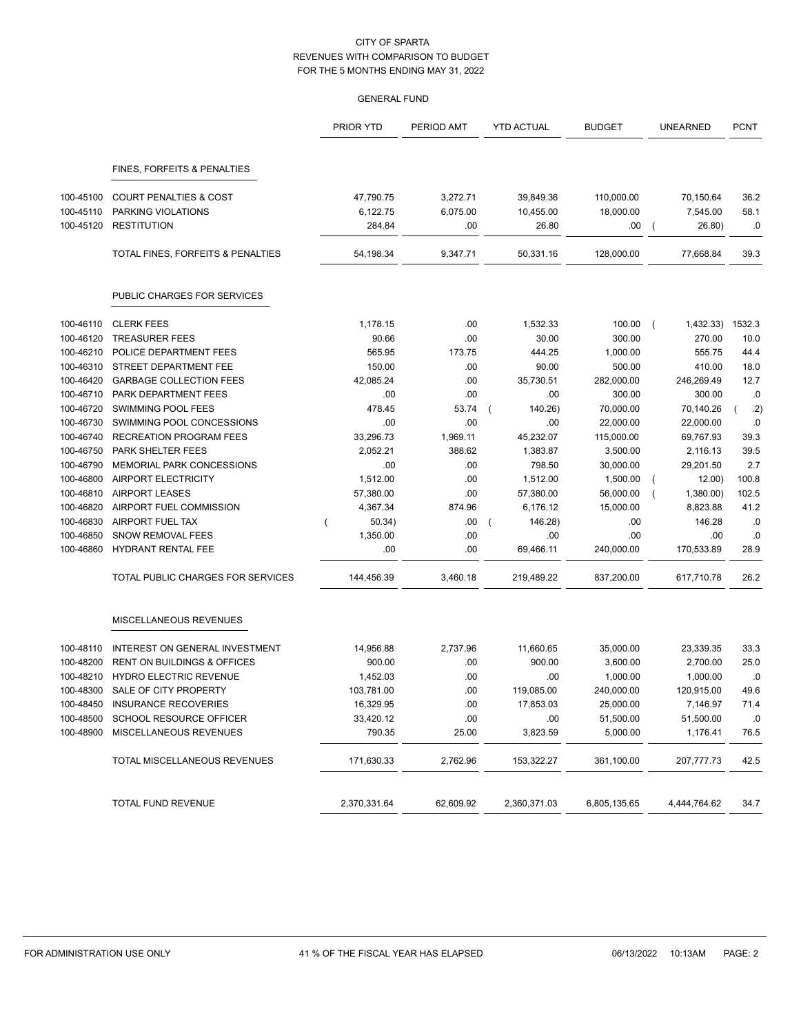|           |                                        | PRIOR YTD    | PERIOD AMT | <b>YTD ACTUAL</b> | <b>BUDGET</b> | <b>UNEARNED</b>          | <b>PCNT</b> |
|-----------|----------------------------------------|--------------|------------|-------------------|---------------|--------------------------|-------------|
|           | FINES, FORFEITS & PENALTIES            |              |            |                   |               |                          |             |
| 100-45100 | <b>COURT PENALTIES &amp; COST</b>      | 47,790.75    | 3,272.71   | 39,849.36         | 110,000.00    | 70,150.64                | 36.2        |
| 100-45110 | PARKING VIOLATIONS                     | 6,122.75     | 6,075.00   | 10,455.00         | 18,000.00     | 7,545.00                 | 58.1        |
| 100-45120 | <b>RESTITUTION</b>                     | 284.84       | .00        | 26.80             | .00           | 26.80)<br>$\overline{ }$ | .0          |
|           | TOTAL FINES, FORFEITS & PENALTIES      | 54,198.34    | 9,347.71   | 50,331.16         | 128,000.00    | 77,668.84                | 39.3        |
|           | PUBLIC CHARGES FOR SERVICES            |              |            |                   |               |                          |             |
| 100-46110 | <b>CLERK FEES</b>                      | 1,178.15     | .00        | 1,532.33          | 100.00        | 1,432.33)<br>$\left($    | 1532.3      |
| 100-46120 | <b>TREASURER FEES</b>                  | 90.66        | .00        | 30.00             | 300.00        | 270.00                   | 10.0        |
| 100-46210 | POLICE DEPARTMENT FEES                 | 565.95       | 173.75     | 444.25            | 1,000.00      | 555.75                   | 44.4        |
| 100-46310 | STREET DEPARTMENT FEE                  | 150.00       | .00        | 90.00             | 500.00        | 410.00                   | 18.0        |
| 100-46420 | <b>GARBAGE COLLECTION FEES</b>         | 42,085.24    | .00        | 35,730.51         | 282,000.00    | 246,269.49               | 12.7        |
| 100-46710 | PARK DEPARTMENT FEES                   | .00          | .00        | .00               | 300.00        | 300.00                   | .0          |
| 100-46720 | <b>SWIMMING POOL FEES</b>              | 478.45       | 53.74      | 140.26)           | 70,000.00     | 70,140.26                | .2)         |
| 100-46730 | SWIMMING POOL CONCESSIONS              | .00          | .00        | .00               | 22,000.00     | 22,000.00                | .0          |
| 100-46740 | <b>RECREATION PROGRAM FEES</b>         | 33,296.73    | 1,969.11   | 45,232.07         | 115,000.00    | 69,767.93                | 39.3        |
| 100-46750 | PARK SHELTER FEES                      | 2,052.21     | 388.62     | 1,383.87          | 3,500.00      | 2,116.13                 | 39.5        |
| 100-46790 | MEMORIAL PARK CONCESSIONS              | .00          | .00        | 798.50            | 30,000.00     | 29,201.50                | 2.7         |
| 100-46800 | AIRPORT ELECTRICITY                    | 1,512.00     | .00        | 1,512.00          | 1,500.00      | 12.00)<br>$\left($       | 100.8       |
| 100-46810 | <b>AIRPORT LEASES</b>                  | 57,380.00    | .00        | 57,380.00         | 56,000.00     | 1,380.00)                | 102.5       |
| 100-46820 | AIRPORT FUEL COMMISSION                | 4,367.34     | 874.96     | 6,176.12          | 15,000.00     | 8,823.88                 | 41.2        |
| 100-46830 | AIRPORT FUEL TAX                       | 50.34)       | .00.       | 146.28)           | .00           | 146.28                   | .0          |
| 100-46850 | <b>SNOW REMOVAL FEES</b>               | 1,350.00     | .00        | .00.              | .00           | .00                      | .0          |
| 100-46860 | HYDRANT RENTAL FEE                     | .00          | .00        | 69,466.11         | 240,000.00    | 170,533.89               | 28.9        |
|           | TOTAL PUBLIC CHARGES FOR SERVICES      | 144,456.39   | 3,460.18   | 219,489.22        | 837,200.00    | 617,710.78               | 26.2        |
|           | MISCELLANEOUS REVENUES                 |              |            |                   |               |                          |             |
| 100-48110 | INTEREST ON GENERAL INVESTMENT         | 14,956.88    | 2,737.96   | 11,660.65         | 35,000.00     | 23,339.35                | 33.3        |
| 100-48200 | <b>RENT ON BUILDINGS &amp; OFFICES</b> | 900.00       | .00        | 900.00            | 3,600.00      | 2,700.00                 | 25.0        |
| 100-48210 | <b>HYDRO ELECTRIC REVENUE</b>          | 1,452.03     | .00        | .00               | 1,000.00      | 1,000.00                 | .0          |
| 100-48300 | SALE OF CITY PROPERTY                  | 103,781.00   | .00        | 119,085.00        | 240.000.00    | 120,915.00               | 49.6        |
| 100-48450 | <b>INSURANCE RECOVERIES</b>            | 16,329.95    | .00        | 17,853.03         | 25,000.00     | 7,146.97                 | 71.4        |
| 100-48500 | SCHOOL RESOURCE OFFICER                | 33,420.12    | .00        | .00               | 51,500.00     | 51,500.00                | .0          |
| 100-48900 | MISCELLANEOUS REVENUES                 | 790.35       | 25.00      | 3,823.59          | 5,000.00      | 1,176.41                 | 76.5        |
|           | TOTAL MISCELLANEOUS REVENUES           | 171,630.33   | 2,762.96   | 153,322.27        | 361,100.00    | 207,777.73               | 42.5        |
|           | TOTAL FUND REVENUE                     | 2,370,331.64 | 62,609.92  | 2,360,371.03      | 6,805,135.65  | 4,444,764.62             | 34.7        |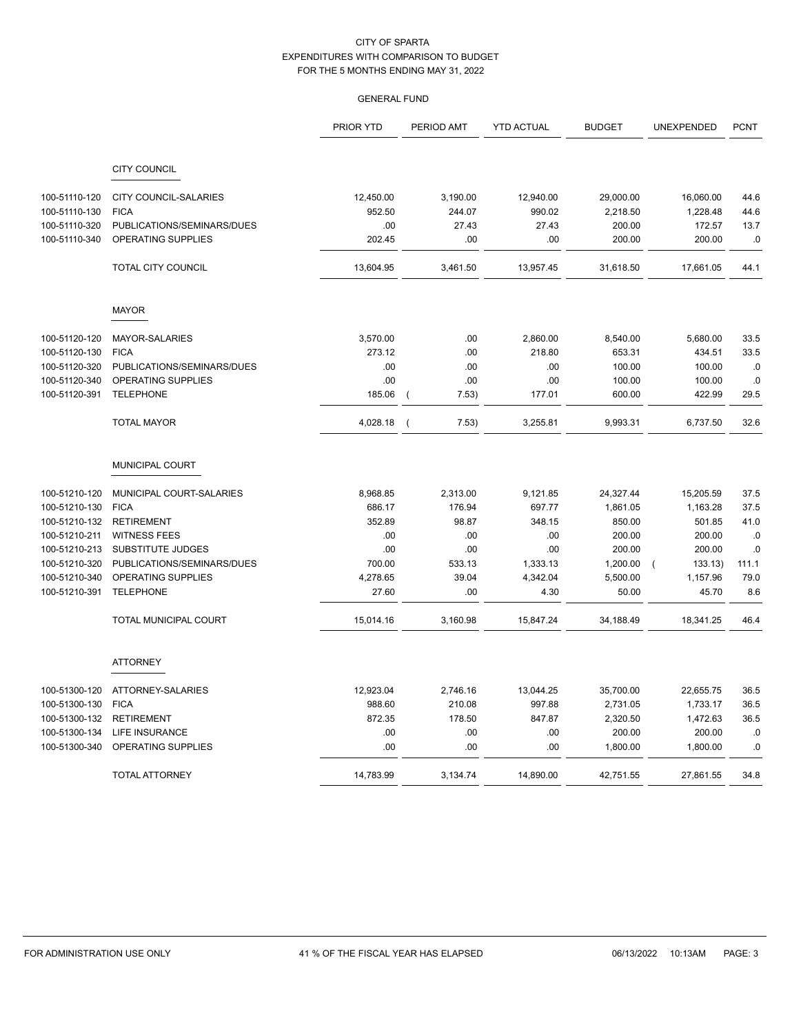|               |                            | <b>PRIOR YTD</b> | PERIOD AMT | <b>YTD ACTUAL</b> | <b>BUDGET</b> | UNEXPENDED           | <b>PCNT</b> |
|---------------|----------------------------|------------------|------------|-------------------|---------------|----------------------|-------------|
|               | <b>CITY COUNCIL</b>        |                  |            |                   |               |                      |             |
| 100-51110-120 | CITY COUNCIL-SALARIES      | 12,450.00        | 3,190.00   | 12,940.00         | 29,000.00     | 16,060.00            | 44.6        |
| 100-51110-130 | <b>FICA</b>                | 952.50           | 244.07     | 990.02            | 2,218.50      | 1,228.48             | 44.6        |
| 100-51110-320 | PUBLICATIONS/SEMINARS/DUES | .00              | 27.43      | 27.43             | 200.00        | 172.57               | 13.7        |
| 100-51110-340 | OPERATING SUPPLIES         | 202.45           | .00        | .00               | 200.00        | 200.00               | .0          |
|               | <b>TOTAL CITY COUNCIL</b>  | 13,604.95        | 3,461.50   | 13,957.45         | 31,618.50     | 17,661.05            | 44.1        |
|               | <b>MAYOR</b>               |                  |            |                   |               |                      |             |
| 100-51120-120 | MAYOR-SALARIES             | 3,570.00         | .00        | 2,860.00          | 8,540.00      | 5,680.00             | 33.5        |
| 100-51120-130 | <b>FICA</b>                | 273.12           | .00        | 218.80            | 653.31        | 434.51               | 33.5        |
| 100-51120-320 | PUBLICATIONS/SEMINARS/DUES | .00              | .00        | .00               | 100.00        | 100.00               | .0          |
| 100-51120-340 | OPERATING SUPPLIES         | .00              | .00        | .00               | 100.00        | 100.00               | $\cdot$ 0   |
| 100-51120-391 | <b>TELEPHONE</b>           | 185.06           | 7.53)      | 177.01            | 600.00        | 422.99               | 29.5        |
|               | <b>TOTAL MAYOR</b>         | 4,028.18         | 7.53)      | 3,255.81          | 9,993.31      | 6,737.50             | 32.6        |
|               | MUNICIPAL COURT            |                  |            |                   |               |                      |             |
| 100-51210-120 | MUNICIPAL COURT-SALARIES   | 8,968.85         | 2,313.00   | 9,121.85          | 24,327.44     | 15,205.59            | 37.5        |
| 100-51210-130 | <b>FICA</b>                | 686.17           | 176.94     | 697.77            | 1,861.05      | 1,163.28             | 37.5        |
| 100-51210-132 | <b>RETIREMENT</b>          | 352.89           | 98.87      | 348.15            | 850.00        | 501.85               | 41.0        |
| 100-51210-211 | <b>WITNESS FEES</b>        | .00              | .00        | .00               | 200.00        | 200.00               | .0          |
| 100-51210-213 | SUBSTITUTE JUDGES          | .00              | .00        | .00               | 200.00        | 200.00               | .0          |
| 100-51210-320 | PUBLICATIONS/SEMINARS/DUES | 700.00           | 533.13     | 1,333.13          | 1,200.00      | 133.13<br>$\sqrt{2}$ | 111.1       |
| 100-51210-340 | OPERATING SUPPLIES         | 4,278.65         | 39.04      | 4,342.04          | 5,500.00      | 1,157.96             | 79.0        |
| 100-51210-391 | <b>TELEPHONE</b>           | 27.60            | .00        | 4.30              | 50.00         | 45.70                | 8.6         |
|               | TOTAL MUNICIPAL COURT      | 15,014.16        | 3,160.98   | 15,847.24         | 34,188.49     | 18,341.25            | 46.4        |
|               | <b>ATTORNEY</b>            |                  |            |                   |               |                      |             |
| 100-51300-120 | ATTORNEY-SALARIES          | 12,923.04        | 2,746.16   | 13,044.25         | 35,700.00     | 22,655.75            | 36.5        |
| 100-51300-130 | <b>FICA</b>                | 988.60           | 210.08     | 997.88            | 2,731.05      | 1,733.17             | 36.5        |
| 100-51300-132 | <b>RETIREMENT</b>          | 872.35           | 178.50     | 847.87            | 2,320.50      | 1,472.63             | 36.5        |
| 100-51300-134 | LIFE INSURANCE             | .00              | .00        | .00               | 200.00        | 200.00               | .0          |
| 100-51300-340 | OPERATING SUPPLIES         | .00              | .00        | .00               | 1,800.00      | 1,800.00             | .0          |
|               | <b>TOTAL ATTORNEY</b>      | 14,783.99        | 3,134.74   | 14,890.00         | 42,751.55     | 27,861.55            | 34.8        |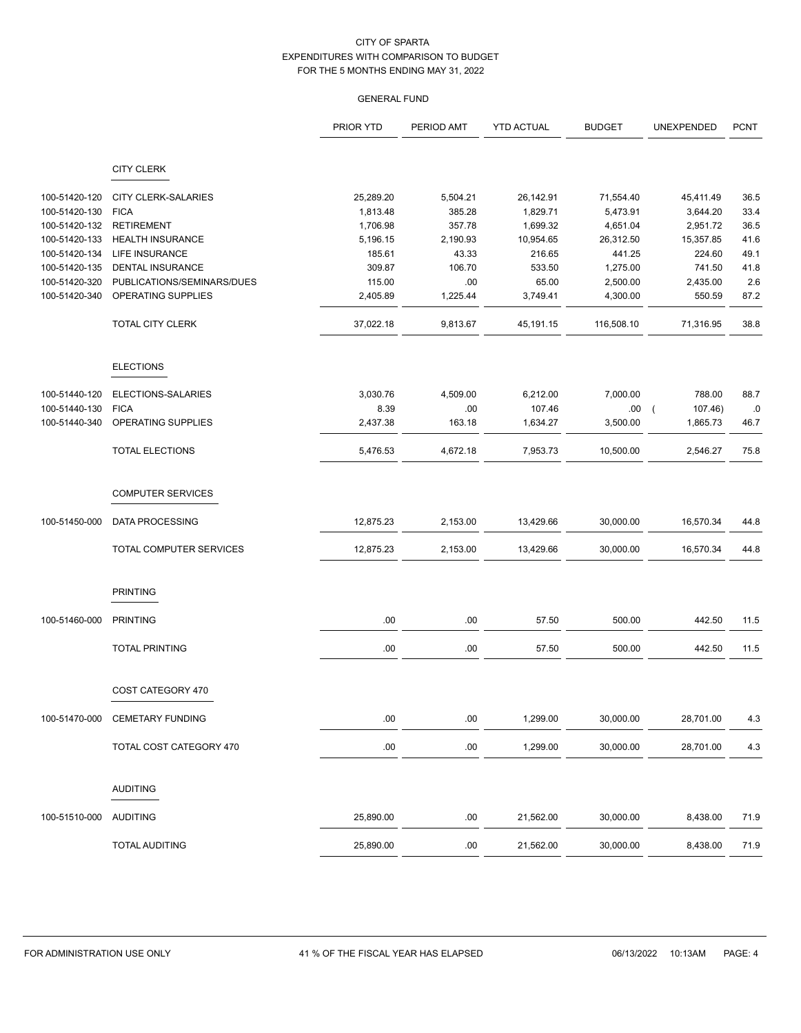|               |                            | PRIOR YTD | PERIOD AMT | <b>YTD ACTUAL</b> | <b>BUDGET</b> | UNEXPENDED            | <b>PCNT</b> |
|---------------|----------------------------|-----------|------------|-------------------|---------------|-----------------------|-------------|
|               | <b>CITY CLERK</b>          |           |            |                   |               |                       |             |
| 100-51420-120 | <b>CITY CLERK-SALARIES</b> | 25,289.20 | 5,504.21   | 26,142.91         | 71,554.40     | 45,411.49             | 36.5        |
| 100-51420-130 | <b>FICA</b>                | 1,813.48  | 385.28     | 1,829.71          | 5,473.91      | 3,644.20              | 33.4        |
| 100-51420-132 | <b>RETIREMENT</b>          | 1,706.98  | 357.78     | 1,699.32          | 4,651.04      | 2,951.72              | 36.5        |
| 100-51420-133 | <b>HEALTH INSURANCE</b>    | 5,196.15  | 2,190.93   | 10,954.65         | 26,312.50     | 15,357.85             | 41.6        |
| 100-51420-134 | LIFE INSURANCE             | 185.61    | 43.33      | 216.65            | 441.25        | 224.60                | 49.1        |
| 100-51420-135 | DENTAL INSURANCE           | 309.87    | 106.70     | 533.50            | 1,275.00      | 741.50                | 41.8        |
| 100-51420-320 | PUBLICATIONS/SEMINARS/DUES | 115.00    | .00        | 65.00             | 2,500.00      | 2,435.00              | 2.6         |
|               | OPERATING SUPPLIES         |           |            |                   |               |                       |             |
| 100-51420-340 |                            | 2,405.89  | 1,225.44   | 3,749.41          | 4,300.00      | 550.59                | 87.2        |
|               | <b>TOTAL CITY CLERK</b>    | 37,022.18 | 9,813.67   | 45,191.15         | 116,508.10    | 71,316.95             | 38.8        |
|               | <b>ELECTIONS</b>           |           |            |                   |               |                       |             |
| 100-51440-120 | ELECTIONS-SALARIES         | 3,030.76  | 4,509.00   | 6,212.00          | 7,000.00      | 788.00                | 88.7        |
| 100-51440-130 | <b>FICA</b>                | 8.39      | .00        | 107.46            | .00.          | 107.46)<br>$\sqrt{2}$ | $.0\,$      |
| 100-51440-340 | OPERATING SUPPLIES         | 2,437.38  | 163.18     | 1,634.27          | 3,500.00      | 1,865.73              | 46.7        |
|               | <b>TOTAL ELECTIONS</b>     | 5,476.53  | 4,672.18   | 7,953.73          | 10,500.00     | 2,546.27              | 75.8        |
|               | <b>COMPUTER SERVICES</b>   |           |            |                   |               |                       |             |
| 100-51450-000 | DATA PROCESSING            | 12,875.23 | 2,153.00   | 13,429.66         | 30,000.00     | 16,570.34             | 44.8        |
|               | TOTAL COMPUTER SERVICES    | 12,875.23 | 2,153.00   | 13,429.66         | 30,000.00     | 16,570.34             | 44.8        |
|               | <b>PRINTING</b>            |           |            |                   |               |                       |             |
| 100-51460-000 | <b>PRINTING</b>            | .00       | .00        | 57.50             | 500.00        | 442.50                | 11.5        |
|               | <b>TOTAL PRINTING</b>      | .00       | .00        | 57.50             | 500.00        | 442.50                | 11.5        |
|               | COST CATEGORY 470          |           |            |                   |               |                       |             |
| 100-51470-000 | <b>CEMETARY FUNDING</b>    | .00       | .00        | 1,299.00          | 30,000.00     | 28,701.00             | 4.3         |
|               | TOTAL COST CATEGORY 470    | $.00\,$   | .00        | 1,299.00          | 30,000.00     | 28,701.00             | 4.3         |
|               | <b>AUDITING</b>            |           |            |                   |               |                       |             |
| 100-51510-000 | <b>AUDITING</b>            | 25,890.00 | .00        | 21,562.00         | 30,000.00     | 8,438.00              | 71.9        |
|               | <b>TOTAL AUDITING</b>      | 25,890.00 | .00        | 21,562.00         | 30,000.00     | 8,438.00              | 71.9        |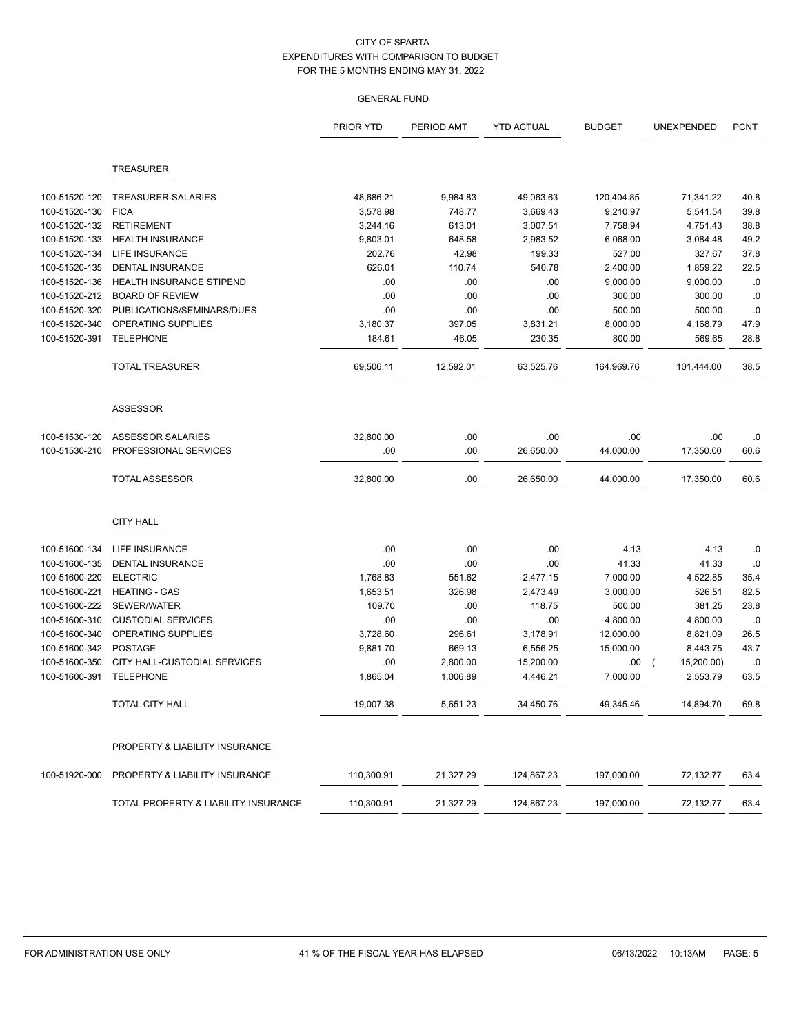|               |                                      | PRIOR YTD  | PERIOD AMT | <b>YTD ACTUAL</b> | <b>BUDGET</b> | UNEXPENDED                   | <b>PCNT</b> |
|---------------|--------------------------------------|------------|------------|-------------------|---------------|------------------------------|-------------|
|               | <b>TREASURER</b>                     |            |            |                   |               |                              |             |
|               |                                      |            |            |                   |               |                              |             |
| 100-51520-120 | TREASURER-SALARIES                   | 48,686.21  | 9,984.83   | 49,063.63         | 120,404.85    | 71,341.22                    | 40.8        |
| 100-51520-130 | <b>FICA</b>                          | 3,578.98   | 748.77     | 3,669.43          | 9,210.97      | 5,541.54                     | 39.8        |
| 100-51520-132 | <b>RETIREMENT</b>                    | 3,244.16   | 613.01     | 3,007.51          | 7,758.94      | 4,751.43                     | 38.8        |
| 100-51520-133 | <b>HEALTH INSURANCE</b>              | 9,803.01   | 648.58     | 2,983.52          | 6,068.00      | 3,084.48                     | 49.2        |
| 100-51520-134 | <b>LIFE INSURANCE</b>                | 202.76     | 42.98      | 199.33            | 527.00        | 327.67                       | 37.8        |
| 100-51520-135 | <b>DENTAL INSURANCE</b>              | 626.01     | 110.74     | 540.78            | 2,400.00      | 1,859.22                     | 22.5        |
| 100-51520-136 | <b>HEALTH INSURANCE STIPEND</b>      | .00        | .00        | .00               | 9,000.00      | 9,000.00                     | .0          |
| 100-51520-212 | <b>BOARD OF REVIEW</b>               | .00        | .00        | .00               | 300.00        | 300.00                       | .0          |
| 100-51520-320 | PUBLICATIONS/SEMINARS/DUES           | .00        | .00        | .00               | 500.00        | 500.00                       | .0          |
| 100-51520-340 | OPERATING SUPPLIES                   | 3,180.37   | 397.05     | 3,831.21          | 8,000.00      | 4,168.79                     | 47.9        |
| 100-51520-391 | <b>TELEPHONE</b>                     | 184.61     | 46.05      | 230.35            | 800.00        | 569.65                       | 28.8        |
|               | <b>TOTAL TREASURER</b>               | 69,506.11  | 12,592.01  | 63,525.76         | 164,969.76    | 101,444.00                   | 38.5        |
|               | <b>ASSESSOR</b>                      |            |            |                   |               |                              |             |
| 100-51530-120 | ASSESSOR SALARIES                    | 32,800.00  | .00        | .00               | .00           | .00                          | .0          |
| 100-51530-210 | PROFESSIONAL SERVICES                | .00        | .00        | 26,650.00         | 44,000.00     | 17,350.00                    | 60.6        |
|               | <b>TOTAL ASSESSOR</b>                | 32,800.00  | .00        | 26,650.00         | 44,000.00     | 17,350.00                    | 60.6        |
|               | <b>CITY HALL</b>                     |            |            |                   |               |                              |             |
| 100-51600-134 | LIFE INSURANCE                       | .00        | .00        | .00               | 4.13          | 4.13                         | .0          |
| 100-51600-135 | <b>DENTAL INSURANCE</b>              | .00        | .00        | .00               | 41.33         | 41.33                        | .0          |
| 100-51600-220 | <b>ELECTRIC</b>                      | 1,768.83   | 551.62     | 2,477.15          | 7,000.00      | 4,522.85                     | 35.4        |
| 100-51600-221 | <b>HEATING - GAS</b>                 | 1,653.51   | 326.98     | 2,473.49          | 3,000.00      | 526.51                       | 82.5        |
| 100-51600-222 | SEWER/WATER                          | 109.70     | .00        | 118.75            | 500.00        | 381.25                       | 23.8        |
| 100-51600-310 | <b>CUSTODIAL SERVICES</b>            | .00        | .00        | .00               | 4,800.00      | 4,800.00                     | .0          |
| 100-51600-340 | OPERATING SUPPLIES                   | 3,728.60   | 296.61     | 3,178.91          | 12,000.00     | 8,821.09                     | 26.5        |
| 100-51600-342 | <b>POSTAGE</b>                       | 9,881.70   | 669.13     | 6,556.25          | 15,000.00     | 8,443.75                     | 43.7        |
| 100-51600-350 | CITY HALL-CUSTODIAL SERVICES         | .00        | 2,800.00   | 15,200.00         | .00           | 15,200.00)<br>$\overline{ }$ | .0          |
| 100-51600-391 | <b>TELEPHONE</b>                     | 1,865.04   | 1,006.89   | 4,446.21          | 7,000.00      | 2,553.79                     | 63.5        |
|               | TOTAL CITY HALL                      | 19,007.38  | 5,651.23   | 34,450.76         | 49,345.46     | 14,894.70                    | 69.8        |
|               | PROPERTY & LIABILITY INSURANCE       |            |            |                   |               |                              |             |
| 100-51920-000 | PROPERTY & LIABILITY INSURANCE       | 110,300.91 | 21,327.29  | 124,867.23        | 197,000.00    | 72,132.77                    | 63.4        |
|               | TOTAL PROPERTY & LIABILITY INSURANCE | 110,300.91 | 21,327.29  | 124,867.23        | 197,000.00    | 72,132.77                    | 63.4        |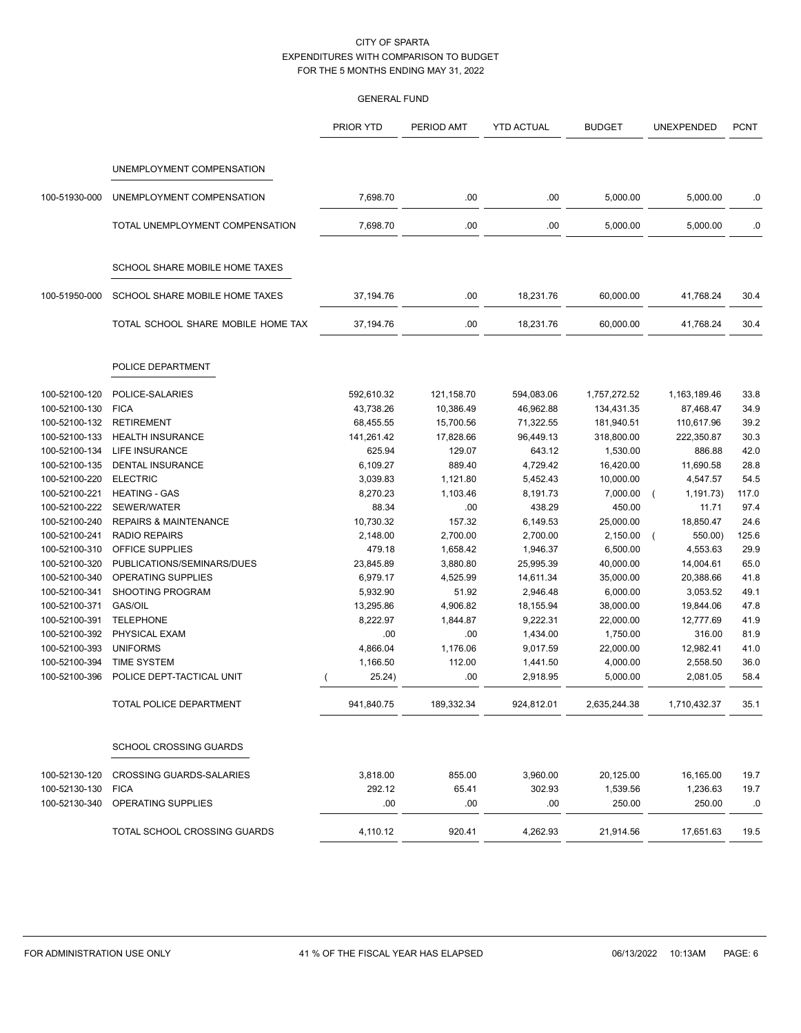|               |                                       | PRIOR YTD  | PERIOD AMT | <b>YTD ACTUAL</b> | <b>BUDGET</b> | UNEXPENDED              | <b>PCNT</b> |
|---------------|---------------------------------------|------------|------------|-------------------|---------------|-------------------------|-------------|
|               |                                       |            |            |                   |               |                         |             |
|               | UNEMPLOYMENT COMPENSATION             |            |            |                   |               |                         |             |
| 100-51930-000 | UNEMPLOYMENT COMPENSATION             | 7,698.70   | .00        | .00               | 5,000.00      | 5,000.00                | .0          |
|               | TOTAL UNEMPLOYMENT COMPENSATION       | 7,698.70   | .00        | .00               | 5,000.00      | 5,000.00                | .0          |
|               | SCHOOL SHARE MOBILE HOME TAXES        |            |            |                   |               |                         |             |
| 100-51950-000 | <b>SCHOOL SHARE MOBILE HOME TAXES</b> | 37,194.76  | .00        | 18,231.76         | 60,000.00     | 41,768.24               | 30.4        |
|               | TOTAL SCHOOL SHARE MOBILE HOME TAX    | 37,194.76  | .00        | 18,231.76         | 60,000.00     | 41,768.24               | 30.4        |
|               | POLICE DEPARTMENT                     |            |            |                   |               |                         |             |
| 100-52100-120 | POLICE-SALARIES                       | 592,610.32 | 121,158.70 | 594,083.06        | 1,757,272.52  | 1,163,189.46            | 33.8        |
| 100-52100-130 | <b>FICA</b>                           | 43,738.26  | 10,386.49  | 46,962.88         | 134,431.35    | 87,468.47               | 34.9        |
| 100-52100-132 | <b>RETIREMENT</b>                     | 68,455.55  | 15,700.56  | 71,322.55         | 181,940.51    | 110,617.96              | 39.2        |
| 100-52100-133 | <b>HEALTH INSURANCE</b>               | 141,261.42 | 17,828.66  | 96,449.13         | 318,800.00    | 222,350.87              | 30.3        |
| 100-52100-134 | <b>LIFE INSURANCE</b>                 | 625.94     | 129.07     | 643.12            | 1,530.00      | 886.88                  | 42.0        |
| 100-52100-135 | DENTAL INSURANCE                      | 6,109.27   | 889.40     | 4,729.42          | 16,420.00     | 11,690.58               | 28.8        |
| 100-52100-220 | <b>ELECTRIC</b>                       | 3,039.83   | 1,121.80   | 5,452.43          | 10,000.00     | 4,547.57                | 54.5        |
| 100-52100-221 | <b>HEATING - GAS</b>                  | 8,270.23   | 1,103.46   | 8,191.73          | 7,000.00      | 1,191.73)<br>$\sqrt{2}$ | 117.0       |
| 100-52100-222 | SEWER/WATER                           | 88.34      | .00        | 438.29            | 450.00        | 11.71                   | 97.4        |
| 100-52100-240 | <b>REPAIRS &amp; MAINTENANCE</b>      | 10,730.32  | 157.32     | 6,149.53          | 25,000.00     | 18,850.47               | 24.6        |
| 100-52100-241 | <b>RADIO REPAIRS</b>                  | 2,148.00   | 2,700.00   | 2,700.00          | 2,150.00      | 550.00)                 | 125.6       |
| 100-52100-310 | OFFICE SUPPLIES                       | 479.18     | 1,658.42   | 1,946.37          | 6,500.00      | 4,553.63                | 29.9        |
| 100-52100-320 | PUBLICATIONS/SEMINARS/DUES            | 23,845.89  | 3,880.80   | 25,995.39         | 40,000.00     | 14,004.61               | 65.0        |
| 100-52100-340 | OPERATING SUPPLIES                    | 6,979.17   | 4,525.99   | 14,611.34         | 35,000.00     | 20,388.66               | 41.8        |
| 100-52100-341 | SHOOTING PROGRAM                      | 5,932.90   | 51.92      | 2,946.48          | 6,000.00      | 3,053.52                | 49.1        |
| 100-52100-371 | <b>GAS/OIL</b>                        | 13,295.86  | 4,906.82   | 18,155.94         | 38,000.00     | 19,844.06               | 47.8        |
| 100-52100-391 | <b>TELEPHONE</b>                      | 8,222.97   | 1,844.87   | 9,222.31          | 22,000.00     | 12,777.69               | 41.9        |
| 100-52100-392 | PHYSICAL EXAM                         | .00        | .00        | 1,434.00          | 1,750.00      | 316.00                  | 81.9        |
| 100-52100-393 | <b>UNIFORMS</b>                       | 4,866.04   | 1,176.06   | 9,017.59          | 22,000.00     | 12,982.41               | 41.0        |
| 100-52100-394 | <b>TIME SYSTEM</b>                    | 1,166.50   | 112.00     | 1,441.50          | 4,000.00      | 2,558.50                | 36.0        |
| 100-52100-396 | POLICE DEPT-TACTICAL UNIT             | 25.24)     | .00        | 2,918.95          | 5,000.00      | 2,081.05                | 58.4        |
|               | TOTAL POLICE DEPARTMENT               | 941,840.75 | 189,332.34 | 924,812.01        | 2,635,244.38  | 1,710,432.37            | 35.1        |
|               | <b>SCHOOL CROSSING GUARDS</b>         |            |            |                   |               |                         |             |
| 100-52130-120 | <b>CROSSING GUARDS-SALARIES</b>       | 3,818.00   | 855.00     | 3,960.00          | 20,125.00     | 16,165.00               | 19.7        |
| 100-52130-130 | <b>FICA</b>                           | 292.12     | 65.41      | 302.93            | 1,539.56      | 1,236.63                | 19.7        |
| 100-52130-340 | OPERATING SUPPLIES                    | .00        | .00        | .00               | 250.00        | 250.00                  | .0          |
|               | TOTAL SCHOOL CROSSING GUARDS          | 4,110.12   | 920.41     | 4,262.93          | 21,914.56     | 17,651.63               | 19.5        |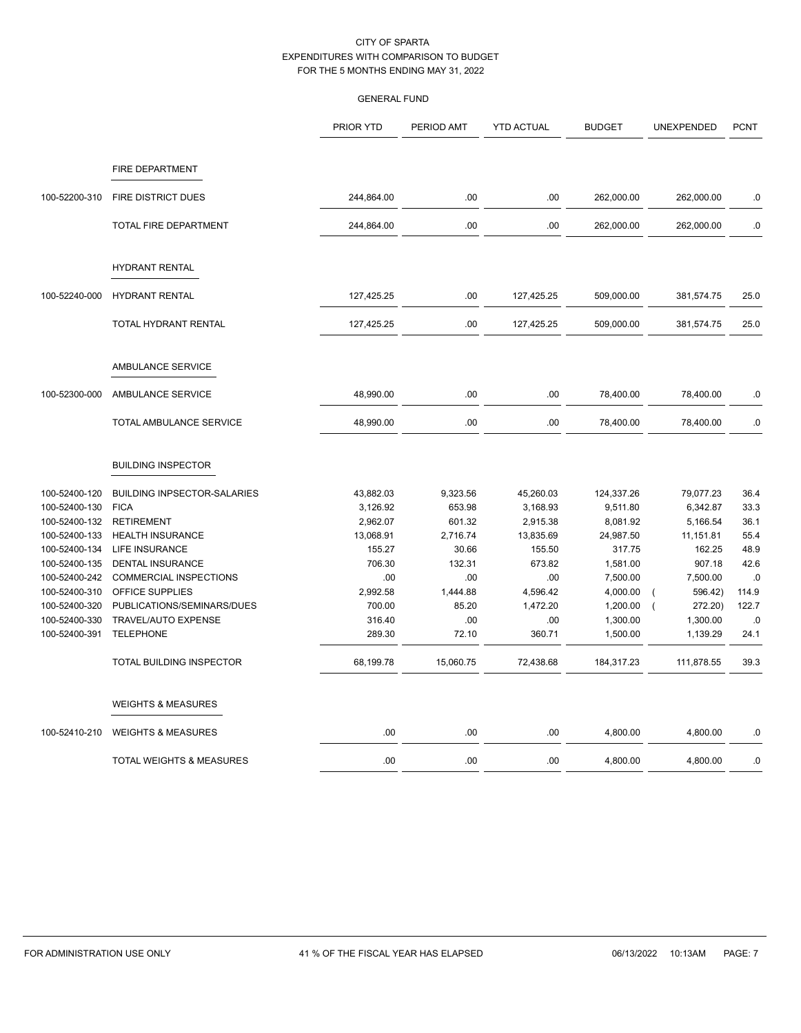|                                                                                                                                                       |                                                                                                                                                                                                                                  | PRIOR YTD                                                                                       | PERIOD AMT                                                                              | <b>YTD ACTUAL</b>                                                                                 | <b>BUDGET</b>                                                                                             | UNEXPENDED                                                                                                         | <b>PCNT</b>                                                          |
|-------------------------------------------------------------------------------------------------------------------------------------------------------|----------------------------------------------------------------------------------------------------------------------------------------------------------------------------------------------------------------------------------|-------------------------------------------------------------------------------------------------|-----------------------------------------------------------------------------------------|---------------------------------------------------------------------------------------------------|-----------------------------------------------------------------------------------------------------------|--------------------------------------------------------------------------------------------------------------------|----------------------------------------------------------------------|
|                                                                                                                                                       | <b>FIRE DEPARTMENT</b>                                                                                                                                                                                                           |                                                                                                 |                                                                                         |                                                                                                   |                                                                                                           |                                                                                                                    |                                                                      |
| 100-52200-310                                                                                                                                         | <b>FIRE DISTRICT DUES</b>                                                                                                                                                                                                        | 244,864.00                                                                                      | .00                                                                                     | .00                                                                                               | 262,000.00                                                                                                | 262,000.00                                                                                                         | .0                                                                   |
|                                                                                                                                                       | TOTAL FIRE DEPARTMENT                                                                                                                                                                                                            | 244,864.00                                                                                      | .00                                                                                     | .00                                                                                               | 262,000.00                                                                                                | 262,000.00                                                                                                         | .0                                                                   |
|                                                                                                                                                       | HYDRANT RENTAL                                                                                                                                                                                                                   |                                                                                                 |                                                                                         |                                                                                                   |                                                                                                           |                                                                                                                    |                                                                      |
| 100-52240-000                                                                                                                                         | <b>HYDRANT RENTAL</b>                                                                                                                                                                                                            | 127,425.25                                                                                      | .00                                                                                     | 127,425.25                                                                                        | 509,000.00                                                                                                | 381,574.75                                                                                                         | 25.0                                                                 |
|                                                                                                                                                       | TOTAL HYDRANT RENTAL                                                                                                                                                                                                             | 127,425.25                                                                                      | .00                                                                                     | 127,425.25                                                                                        | 509,000.00                                                                                                | 381,574.75                                                                                                         | 25.0                                                                 |
|                                                                                                                                                       | AMBULANCE SERVICE                                                                                                                                                                                                                |                                                                                                 |                                                                                         |                                                                                                   |                                                                                                           |                                                                                                                    |                                                                      |
| 100-52300-000                                                                                                                                         | AMBULANCE SERVICE                                                                                                                                                                                                                | 48,990.00                                                                                       | .00                                                                                     | .00                                                                                               | 78,400.00                                                                                                 | 78,400.00                                                                                                          | .0                                                                   |
|                                                                                                                                                       | TOTAL AMBULANCE SERVICE                                                                                                                                                                                                          | 48,990.00                                                                                       | .00                                                                                     | .00                                                                                               | 78,400.00                                                                                                 | 78,400.00                                                                                                          | .0                                                                   |
|                                                                                                                                                       | <b>BUILDING INSPECTOR</b>                                                                                                                                                                                                        |                                                                                                 |                                                                                         |                                                                                                   |                                                                                                           |                                                                                                                    |                                                                      |
| 100-52400-120<br>100-52400-130<br>100-52400-132<br>100-52400-133<br>100-52400-134<br>100-52400-135<br>100-52400-242<br>100-52400-310<br>100-52400-320 | <b>BUILDING INPSECTOR-SALARIES</b><br><b>FICA</b><br><b>RETIREMENT</b><br><b>HEALTH INSURANCE</b><br><b>LIFE INSURANCE</b><br>DENTAL INSURANCE<br><b>COMMERCIAL INSPECTIONS</b><br>OFFICE SUPPLIES<br>PUBLICATIONS/SEMINARS/DUES | 43,882.03<br>3,126.92<br>2,962.07<br>13,068.91<br>155.27<br>706.30<br>.00<br>2,992.58<br>700.00 | 9,323.56<br>653.98<br>601.32<br>2,716.74<br>30.66<br>132.31<br>.00<br>1,444.88<br>85.20 | 45,260.03<br>3,168.93<br>2,915.38<br>13,835.69<br>155.50<br>673.82<br>.00<br>4,596.42<br>1,472.20 | 124,337.26<br>9,511.80<br>8,081.92<br>24,987.50<br>317.75<br>1,581.00<br>7,500.00<br>4,000.00<br>1,200.00 | 79,077.23<br>6,342.87<br>5,166.54<br>11,151.81<br>162.25<br>907.18<br>7,500.00<br>596.42)<br>272.20)<br>$\sqrt{ }$ | 36.4<br>33.3<br>36.1<br>55.4<br>48.9<br>42.6<br>.0<br>114.9<br>122.7 |
| 100-52400-330<br>100-52400-391                                                                                                                        | TRAVEL/AUTO EXPENSE<br><b>TELEPHONE</b>                                                                                                                                                                                          | 316.40<br>289.30                                                                                | .00<br>72.10                                                                            | .00<br>360.71                                                                                     | 1,300.00<br>1,500.00                                                                                      | 1,300.00<br>1,139.29                                                                                               | .0<br>24.1                                                           |
|                                                                                                                                                       | TOTAL BUILDING INSPECTOR                                                                                                                                                                                                         | 68,199.78                                                                                       | 15,060.75                                                                               | 72,438.68                                                                                         | 184,317.23                                                                                                | 111,878.55                                                                                                         | 39.3                                                                 |
|                                                                                                                                                       | <b>WEIGHTS &amp; MEASURES</b>                                                                                                                                                                                                    |                                                                                                 |                                                                                         |                                                                                                   |                                                                                                           |                                                                                                                    |                                                                      |
| 100-52410-210                                                                                                                                         | <b>WEIGHTS &amp; MEASURES</b>                                                                                                                                                                                                    | .00                                                                                             | .00                                                                                     | .00                                                                                               | 4,800.00                                                                                                  | 4,800.00                                                                                                           | .0                                                                   |
|                                                                                                                                                       | TOTAL WEIGHTS & MEASURES                                                                                                                                                                                                         | .00                                                                                             | .00                                                                                     | .00.                                                                                              | 4,800.00                                                                                                  | 4,800.00                                                                                                           | .0                                                                   |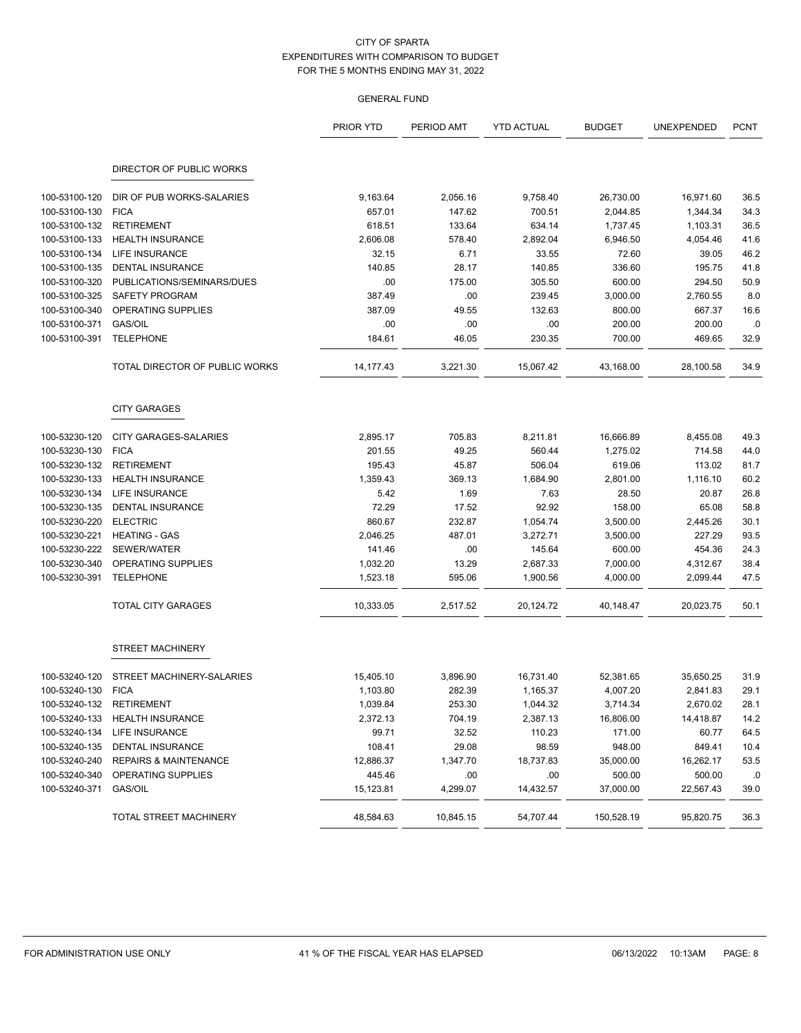|                          |                                  | <b>PRIOR YTD</b> | PERIOD AMT | <b>YTD ACTUAL</b> | <b>BUDGET</b> | UNEXPENDED | <b>PCNT</b> |
|--------------------------|----------------------------------|------------------|------------|-------------------|---------------|------------|-------------|
|                          | DIRECTOR OF PUBLIC WORKS         |                  |            |                   |               |            |             |
|                          |                                  |                  |            |                   |               |            |             |
| 100-53100-120            | DIR OF PUB WORKS-SALARIES        | 9,163.64         | 2,056.16   | 9,758.40          | 26,730.00     | 16,971.60  | 36.5        |
| 100-53100-130            | <b>FICA</b>                      | 657.01           | 147.62     | 700.51            | 2,044.85      | 1,344.34   | 34.3        |
| 100-53100-132            | <b>RETIREMENT</b>                | 618.51           | 133.64     | 634.14            | 1,737.45      | 1,103.31   | 36.5        |
| 100-53100-133            | <b>HEALTH INSURANCE</b>          | 2,606.08         | 578.40     | 2,892.04          | 6,946.50      | 4,054.46   | 41.6        |
| 100-53100-134            | LIFE INSURANCE                   | 32.15            | 6.71       | 33.55             | 72.60         | 39.05      | 46.2        |
| 100-53100-135            | <b>DENTAL INSURANCE</b>          | 140.85           | 28.17      | 140.85            | 336.60        | 195.75     | 41.8        |
| 100-53100-320            | PUBLICATIONS/SEMINARS/DUES       | .00              | 175.00     | 305.50            | 600.00        | 294.50     | 50.9        |
| 100-53100-325            | SAFETY PROGRAM                   | 387.49           | .00        | 239.45            | 3,000.00      | 2,760.55   | 8.0         |
| 100-53100-340            | OPERATING SUPPLIES               | 387.09           | 49.55      | 132.63            | 800.00        | 667.37     | 16.6        |
| 100-53100-371            | <b>GAS/OIL</b>                   | .00              | .00        | .00               | 200.00        | 200.00     | .0          |
| 100-53100-391            | <b>TELEPHONE</b>                 | 184.61           | 46.05      | 230.35            | 700.00        | 469.65     | 32.9        |
|                          | TOTAL DIRECTOR OF PUBLIC WORKS   | 14, 177. 43      | 3,221.30   | 15,067.42         | 43,168.00     | 28,100.58  | 34.9        |
|                          | <b>CITY GARAGES</b>              |                  |            |                   |               |            |             |
| 100-53230-120            | <b>CITY GARAGES-SALARIES</b>     | 2,895.17         | 705.83     | 8,211.81          | 16,666.89     | 8,455.08   | 49.3        |
| 100-53230-130            | <b>FICA</b>                      | 201.55           | 49.25      | 560.44            | 1,275.02      | 714.58     | 44.0        |
| 100-53230-132            | <b>RETIREMENT</b>                | 195.43           | 45.87      | 506.04            | 619.06        | 113.02     | 81.7        |
| 100-53230-133            | <b>HEALTH INSURANCE</b>          | 1,359.43         | 369.13     | 1,684.90          | 2,801.00      | 1,116.10   | 60.2        |
| 100-53230-134            | <b>LIFE INSURANCE</b>            | 5.42             | 1.69       | 7.63              | 28.50         | 20.87      | 26.8        |
| 100-53230-135            | <b>DENTAL INSURANCE</b>          | 72.29            | 17.52      | 92.92             | 158.00        | 65.08      | 58.8        |
| 100-53230-220            | <b>ELECTRIC</b>                  | 860.67           | 232.87     | 1,054.74          | 3,500.00      | 2,445.26   | 30.1        |
| 100-53230-221            | <b>HEATING - GAS</b>             | 2,046.25         | 487.01     | 3,272.71          | 3,500.00      | 227.29     | 93.5        |
| 100-53230-222            | SEWER/WATER                      | 141.46           | .00        | 145.64            | 600.00        | 454.36     | 24.3        |
| 100-53230-340            | OPERATING SUPPLIES               | 1,032.20         | 13.29      | 2,687.33          | 7,000.00      | 4,312.67   | 38.4        |
| 100-53230-391            | <b>TELEPHONE</b>                 | 1,523.18         | 595.06     | 1,900.56          | 4,000.00      | 2,099.44   | 47.5        |
|                          | <b>TOTAL CITY GARAGES</b>        | 10,333.05        | 2,517.52   | 20,124.72         | 40,148.47     | 20,023.75  | 50.1        |
|                          | <b>STREET MACHINERY</b>          |                  |            |                   |               |            |             |
| 100-53240-120            | STREET MACHINERY-SALARIES        | 15,405.10        | 3,896.90   | 16,731.40         | 52,381.65     | 35,650.25  | 31.9        |
| 100-53240-130            | <b>FICA</b>                      | 1,103.80         | 282.39     | 1,165.37          | 4,007.20      | 2,841.83   | 29.1        |
| 100-53240-132 RETIREMENT |                                  | 1,039.84         | 253.30     | 1,044.32          | 3,714.34      | 2,670.02   | 28.1        |
| 100-53240-133            | <b>HEALTH INSURANCE</b>          | 2,372.13         | 704.19     | 2,387.13          | 16,806.00     | 14,418.87  | 14.2        |
| 100-53240-134            | LIFE INSURANCE                   | 99.71            | 32.52      | 110.23            | 171.00        | 60.77      | 64.5        |
| 100-53240-135            | DENTAL INSURANCE                 | 108.41           | 29.08      | 98.59             | 948.00        | 849.41     | 10.4        |
| 100-53240-240            | <b>REPAIRS &amp; MAINTENANCE</b> | 12,886.37        | 1,347.70   | 18,737.83         | 35,000.00     | 16,262.17  | 53.5        |
| 100-53240-340            | OPERATING SUPPLIES               | 445.46           | .00        | .00               | 500.00        | 500.00     | .0          |
| 100-53240-371            | GAS/OIL                          | 15,123.81        | 4,299.07   | 14,432.57         | 37,000.00     | 22,567.43  | 39.0        |
|                          | TOTAL STREET MACHINERY           | 48,584.63        | 10,845.15  | 54,707.44         | 150,528.19    | 95,820.75  | 36.3        |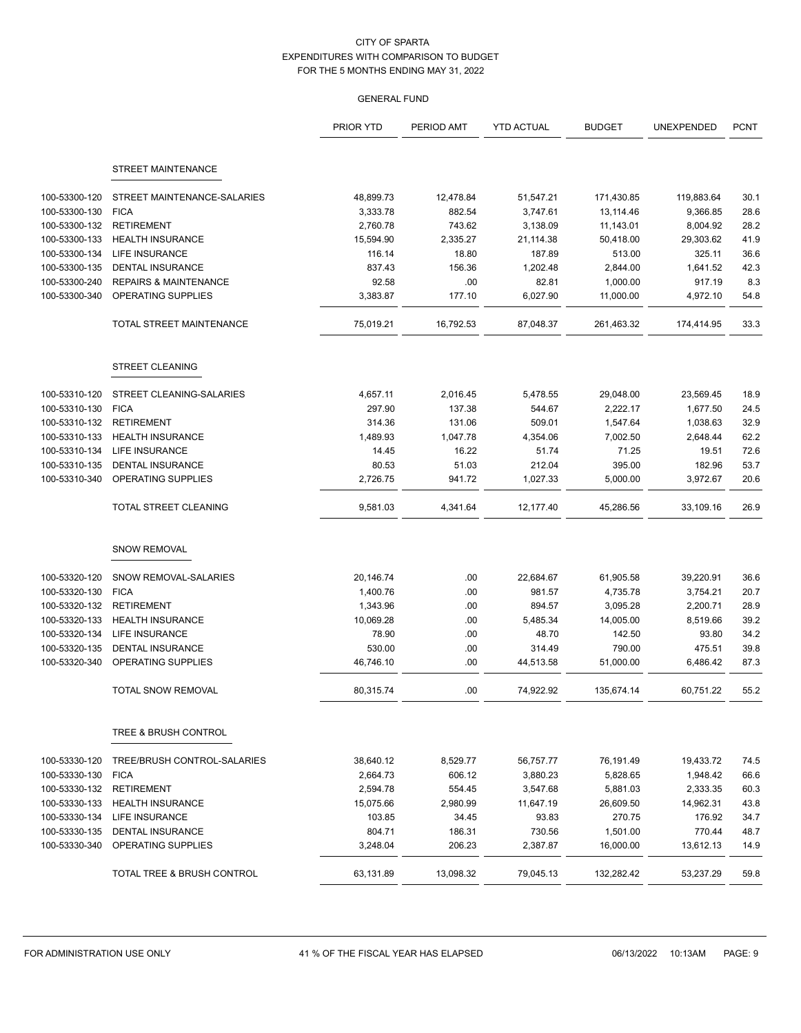|                                |                                            | PRIOR YTD            | PERIOD AMT       | <b>YTD ACTUAL</b>     | <b>BUDGET</b>          | UNEXPENDED           | <b>PCNT</b>  |
|--------------------------------|--------------------------------------------|----------------------|------------------|-----------------------|------------------------|----------------------|--------------|
|                                | STREET MAINTENANCE                         |                      |                  |                       |                        |                      |              |
|                                |                                            |                      |                  |                       |                        |                      |              |
| 100-53300-120<br>100-53300-130 | STREET MAINTENANCE-SALARIES<br><b>FICA</b> | 48,899.73            | 12,478.84        | 51,547.21             | 171,430.85             | 119,883.64           | 30.1<br>28.6 |
| 100-53300-132                  | <b>RETIREMENT</b>                          | 3,333.78<br>2,760.78 | 882.54<br>743.62 | 3,747.61              | 13,114.46              | 9,366.85<br>8,004.92 | 28.2         |
| 100-53300-133                  | <b>HEALTH INSURANCE</b>                    | 15,594.90            | 2,335.27         | 3,138.09<br>21,114.38 | 11,143.01<br>50,418.00 | 29,303.62            | 41.9         |
| 100-53300-134                  | LIFE INSURANCE                             | 116.14               | 18.80            | 187.89                | 513.00                 | 325.11               | 36.6         |
| 100-53300-135                  | DENTAL INSURANCE                           | 837.43               | 156.36           | 1,202.48              | 2,844.00               | 1,641.52             | 42.3         |
| 100-53300-240                  | <b>REPAIRS &amp; MAINTENANCE</b>           | 92.58                | .00              | 82.81                 | 1,000.00               | 917.19               | 8.3          |
| 100-53300-340                  | OPERATING SUPPLIES                         | 3,383.87             | 177.10           | 6,027.90              | 11,000.00              | 4,972.10             | 54.8         |
|                                | TOTAL STREET MAINTENANCE                   | 75,019.21            | 16,792.53        | 87,048.37             | 261,463.32             | 174,414.95           | 33.3         |
|                                | <b>STREET CLEANING</b>                     |                      |                  |                       |                        |                      |              |
| 100-53310-120                  | STREET CLEANING-SALARIES                   | 4,657.11             | 2,016.45         | 5,478.55              | 29,048.00              | 23,569.45            | 18.9         |
| 100-53310-130                  | <b>FICA</b>                                | 297.90               | 137.38           | 544.67                | 2,222.17               | 1,677.50             | 24.5         |
| 100-53310-132                  | <b>RETIREMENT</b>                          | 314.36               | 131.06           | 509.01                | 1,547.64               | 1,038.63             | 32.9         |
| 100-53310-133                  | <b>HEALTH INSURANCE</b>                    | 1,489.93             | 1,047.78         | 4,354.06              | 7,002.50               | 2,648.44             | 62.2         |
| 100-53310-134                  | <b>LIFE INSURANCE</b>                      | 14.45                | 16.22            | 51.74                 | 71.25                  | 19.51                | 72.6         |
| 100-53310-135                  | DENTAL INSURANCE                           | 80.53                | 51.03            | 212.04                | 395.00                 | 182.96               | 53.7         |
| 100-53310-340                  | OPERATING SUPPLIES                         | 2,726.75             | 941.72           | 1,027.33              | 5,000.00               | 3,972.67             | 20.6         |
|                                | TOTAL STREET CLEANING                      | 9,581.03             | 4,341.64         | 12,177.40             | 45,286.56              | 33,109.16            | 26.9         |
|                                | <b>SNOW REMOVAL</b>                        |                      |                  |                       |                        |                      |              |
| 100-53320-120                  | SNOW REMOVAL-SALARIES                      | 20,146.74            | .00              | 22,684.67             | 61,905.58              | 39,220.91            | 36.6         |
| 100-53320-130                  | <b>FICA</b>                                | 1,400.76             | .00              | 981.57                | 4,735.78               | 3,754.21             | 20.7         |
| 100-53320-132                  | <b>RETIREMENT</b>                          | 1,343.96             | .00              | 894.57                | 3,095.28               | 2,200.71             | 28.9         |
| 100-53320-133                  | <b>HEALTH INSURANCE</b>                    | 10,069.28            | .00              | 5,485.34              | 14,005.00              | 8,519.66             | 39.2         |
| 100-53320-134                  | <b>LIFE INSURANCE</b>                      | 78.90                | .00              | 48.70                 | 142.50                 | 93.80                | 34.2         |
| 100-53320-135                  | <b>DENTAL INSURANCE</b>                    | 530.00               | .00              | 314.49                | 790.00                 | 475.51               | 39.8         |
| 100-53320-340                  | OPERATING SUPPLIES                         | 46,746.10            | .00              | 44,513.58             | 51,000.00              | 6,486.42             | 87.3         |
|                                | <b>TOTAL SNOW REMOVAL</b>                  | 80,315.74            | .00              | 74,922.92             | 135,674.14             | 60,751.22            | 55.2         |
|                                | TREE & BRUSH CONTROL                       |                      |                  |                       |                        |                      |              |
| 100-53330-120                  | TREE/BRUSH CONTROL-SALARIES                | 38,640.12            | 8,529.77         | 56,757.77             | 76,191.49              | 19,433.72            | 74.5         |
| 100-53330-130                  | <b>FICA</b>                                | 2,664.73             | 606.12           | 3,880.23              | 5,828.65               | 1,948.42             | 66.6         |
| 100-53330-132                  | <b>RETIREMENT</b>                          | 2,594.78             | 554.45           | 3,547.68              | 5,881.03               | 2,333.35             | 60.3         |
| 100-53330-133                  | <b>HEALTH INSURANCE</b>                    | 15,075.66            | 2,980.99         | 11,647.19             | 26,609.50              | 14,962.31            | 43.8         |
| 100-53330-134                  | <b>LIFE INSURANCE</b>                      | 103.85               | 34.45            | 93.83                 | 270.75                 | 176.92               | 34.7         |
| 100-53330-135                  | <b>DENTAL INSURANCE</b>                    | 804.71               | 186.31           | 730.56                | 1,501.00               | 770.44               | 48.7         |
| 100-53330-340                  | OPERATING SUPPLIES                         | 3,248.04             | 206.23           | 2,387.87              | 16,000.00              | 13,612.13            | 14.9         |
|                                | TOTAL TREE & BRUSH CONTROL                 | 63,131.89            | 13,098.32        | 79,045.13             | 132,282.42             | 53,237.29            | 59.8         |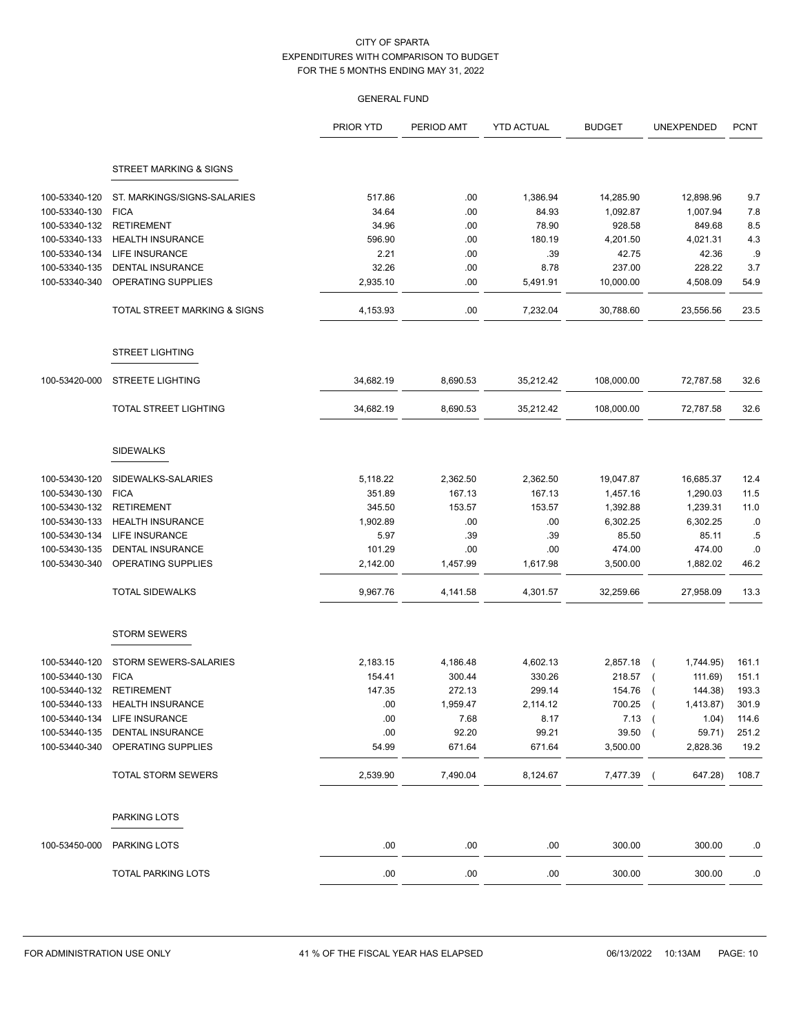|               |                              | PRIOR YTD | PERIOD AMT | <b>YTD ACTUAL</b> | <b>BUDGET</b> | <b>UNEXPENDED</b>       | <b>PCNT</b> |
|---------------|------------------------------|-----------|------------|-------------------|---------------|-------------------------|-------------|
|               | STREET MARKING & SIGNS       |           |            |                   |               |                         |             |
| 100-53340-120 | ST. MARKINGS/SIGNS-SALARIES  | 517.86    | .00        | 1,386.94          | 14,285.90     | 12,898.96               | 9.7         |
| 100-53340-130 | <b>FICA</b>                  | 34.64     | .00        | 84.93             | 1,092.87      | 1,007.94                | 7.8         |
| 100-53340-132 | <b>RETIREMENT</b>            | 34.96     | .00        | 78.90             | 928.58        | 849.68                  | 8.5         |
| 100-53340-133 | <b>HEALTH INSURANCE</b>      | 596.90    | .00        | 180.19            | 4,201.50      | 4,021.31                | 4.3         |
| 100-53340-134 | <b>LIFE INSURANCE</b>        | 2.21      | .00        | .39               | 42.75         | 42.36                   | .9          |
| 100-53340-135 | <b>DENTAL INSURANCE</b>      | 32.26     | .00        | 8.78              | 237.00        | 228.22                  | 3.7         |
| 100-53340-340 | OPERATING SUPPLIES           | 2,935.10  | .00        | 5,491.91          | 10,000.00     | 4,508.09                | 54.9        |
|               | TOTAL STREET MARKING & SIGNS | 4,153.93  | .00        | 7,232.04          | 30,788.60     | 23,556.56               | 23.5        |
|               | <b>STREET LIGHTING</b>       |           |            |                   |               |                         |             |
| 100-53420-000 | <b>STREETE LIGHTING</b>      | 34,682.19 | 8,690.53   | 35,212.42         | 108,000.00    | 72,787.58               | 32.6        |
|               | <b>TOTAL STREET LIGHTING</b> | 34,682.19 | 8,690.53   | 35,212.42         | 108,000.00    | 72,787.58               | 32.6        |
|               | <b>SIDEWALKS</b>             |           |            |                   |               |                         |             |
| 100-53430-120 | SIDEWALKS-SALARIES           | 5,118.22  | 2,362.50   | 2,362.50          | 19,047.87     | 16,685.37               | 12.4        |
| 100-53430-130 | <b>FICA</b>                  | 351.89    | 167.13     | 167.13            | 1,457.16      | 1,290.03                | 11.5        |
| 100-53430-132 | <b>RETIREMENT</b>            | 345.50    | 153.57     | 153.57            | 1,392.88      | 1,239.31                | 11.0        |
| 100-53430-133 | <b>HEALTH INSURANCE</b>      | 1,902.89  | .00        | .00               | 6,302.25      | 6,302.25                | .0          |
| 100-53430-134 | <b>LIFE INSURANCE</b>        | 5.97      | .39        | .39               | 85.50         | 85.11                   | .5          |
| 100-53430-135 | <b>DENTAL INSURANCE</b>      | 101.29    | .00        | .00               | 474.00        | 474.00                  | .0          |
| 100-53430-340 | OPERATING SUPPLIES           | 2,142.00  | 1,457.99   | 1,617.98          | 3,500.00      | 1,882.02                | 46.2        |
|               | <b>TOTAL SIDEWALKS</b>       | 9,967.76  | 4,141.58   | 4,301.57          | 32,259.66     | 27,958.09               | 13.3        |
|               | <b>STORM SEWERS</b>          |           |            |                   |               |                         |             |
| 100-53440-120 | STORM SEWERS-SALARIES        | 2,183.15  | 4,186.48   | 4,602.13          | 2,857.18      | 1,744.95)<br>$\sqrt{2}$ | 161.1       |
| 100-53440-130 | <b>FICA</b>                  | 154.41    | 300.44     | 330.26            | 218.57        | 111.69)<br>$\sqrt{2}$   | 151.1       |
| 100-53440-132 | <b>RETIREMENT</b>            | 147.35    | 272.13     | 299.14            | 154.76        | 144.38)<br>$\sqrt{ }$   | 193.3       |
| 100-53440-133 | <b>HEALTH INSURANCE</b>      | .00       | 1,959.47   | 2,114.12          | 700.25        | 1,413.87<br>$\sqrt{2}$  | 301.9       |
| 100-53440-134 | LIFE INSURANCE               | .00       | 7.68       | 8.17              | 7.13          | 1.04)                   | 114.6       |
| 100-53440-135 | DENTAL INSURANCE             | .00       | 92.20      | 99.21             | 39.50         | 59.71)<br>$\left($      | 251.2       |
| 100-53440-340 | OPERATING SUPPLIES           | 54.99     | 671.64     | 671.64            | 3,500.00      | 2,828.36                | 19.2        |
|               | TOTAL STORM SEWERS           | 2,539.90  | 7,490.04   | 8,124.67          | 7,477.39 (    | 647.28)                 | 108.7       |
|               | PARKING LOTS                 |           |            |                   |               |                         |             |
| 100-53450-000 | PARKING LOTS                 | .00       | .00        | .00               | 300.00        | 300.00                  | .0          |
|               | TOTAL PARKING LOTS           | .00       | .00        | .00               | 300.00        | 300.00                  | .0          |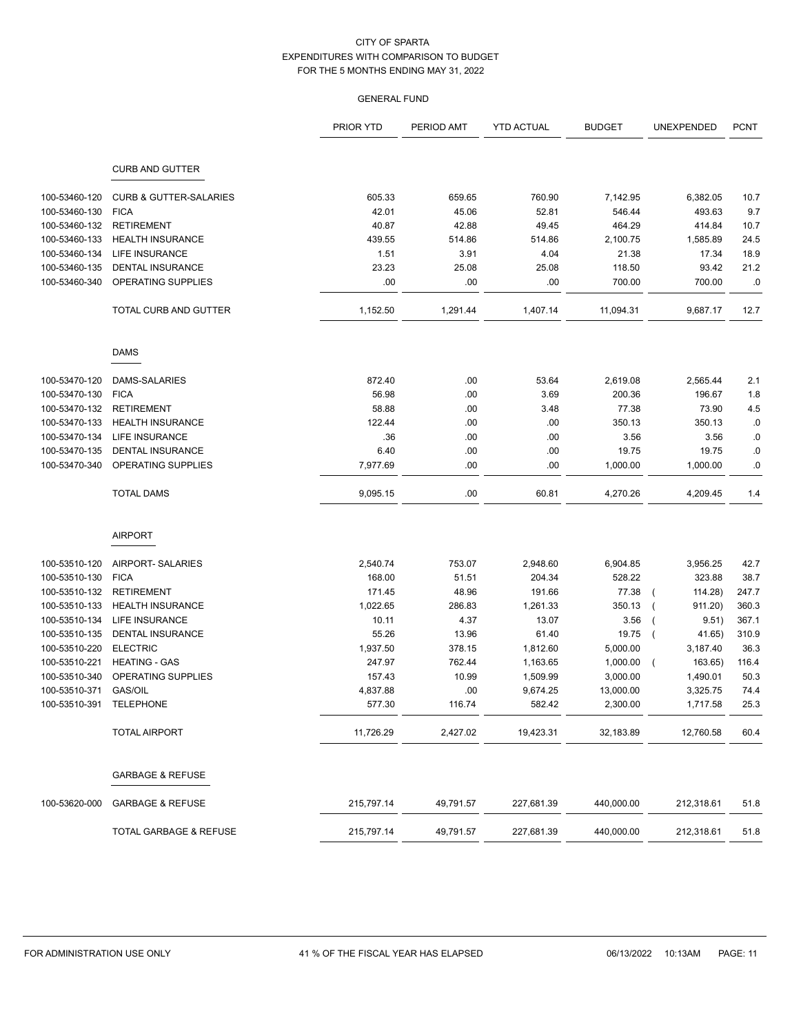|                         |                                   | PRIOR YTD  | PERIOD AMT | <b>YTD ACTUAL</b> | <b>BUDGET</b> | UNEXPENDED | <b>PCNT</b> |
|-------------------------|-----------------------------------|------------|------------|-------------------|---------------|------------|-------------|
|                         | <b>CURB AND GUTTER</b>            |            |            |                   |               |            |             |
| 100-53460-120           | <b>CURB &amp; GUTTER-SALARIES</b> | 605.33     | 659.65     | 760.90            | 7,142.95      | 6,382.05   | 10.7        |
| 100-53460-130           | <b>FICA</b>                       | 42.01      | 45.06      | 52.81             | 546.44        | 493.63     | 9.7         |
| 100-53460-132           | <b>RETIREMENT</b>                 | 40.87      | 42.88      | 49.45             | 464.29        | 414.84     | 10.7        |
| 100-53460-133           | <b>HEALTH INSURANCE</b>           | 439.55     | 514.86     | 514.86            | 2,100.75      | 1,585.89   | 24.5        |
| 100-53460-134           | LIFE INSURANCE                    | 1.51       | 3.91       | 4.04              | 21.38         | 17.34      | 18.9        |
| 100-53460-135           | <b>DENTAL INSURANCE</b>           | 23.23      | 25.08      | 25.08             | 118.50        | 93.42      | 21.2        |
| 100-53460-340           | OPERATING SUPPLIES                | .00        | .00        | .00               | 700.00        | 700.00     | .0          |
|                         | TOTAL CURB AND GUTTER             | 1,152.50   | 1,291.44   | 1,407.14          | 11,094.31     | 9,687.17   | 12.7        |
|                         | <b>DAMS</b>                       |            |            |                   |               |            |             |
| 100-53470-120           | DAMS-SALARIES                     | 872.40     | .00.       | 53.64             | 2,619.08      | 2,565.44   | 2.1         |
| 100-53470-130           | <b>FICA</b>                       | 56.98      | .00        | 3.69              | 200.36        | 196.67     | 1.8         |
| 100-53470-132           | <b>RETIREMENT</b>                 | 58.88      | .00.       | 3.48              | 77.38         | 73.90      | 4.5         |
| 100-53470-133           | <b>HEALTH INSURANCE</b>           | 122.44     | .00        | .00               | 350.13        | 350.13     | .0          |
| 100-53470-134           | <b>LIFE INSURANCE</b>             | .36        | .00        | .00               | 3.56          | 3.56       | .0          |
| 100-53470-135           | DENTAL INSURANCE                  | 6.40       | .00        | .00               | 19.75         | 19.75      | .0          |
| 100-53470-340           | OPERATING SUPPLIES                | 7,977.69   | .00        | .00               | 1,000.00      | 1,000.00   | .0          |
|                         | <b>TOTAL DAMS</b>                 | 9.095.15   | .00.       | 60.81             | 4,270.26      | 4,209.45   | 1.4         |
|                         | <b>AIRPORT</b>                    |            |            |                   |               |            |             |
| 100-53510-120           | AIRPORT- SALARIES                 | 2,540.74   | 753.07     | 2,948.60          | 6,904.85      | 3,956.25   | 42.7        |
| 100-53510-130           | <b>FICA</b>                       | 168.00     | 51.51      | 204.34            | 528.22        | 323.88     | 38.7        |
| 100-53510-132           | <b>RETIREMENT</b>                 | 171.45     | 48.96      | 191.66            | 77.38         | 114.28     | 247.7       |
| 100-53510-133           | <b>HEALTH INSURANCE</b>           | 1,022.65   | 286.83     | 1,261.33          | 350.13        | 911.20)    | 360.3       |
| 100-53510-134           | LIFE INSURANCE                    | 10.11      | 4.37       | 13.07             | 3.56          | 9.51)      | 367.1       |
| 100-53510-135           | DENTAL INSURANCE                  | 55.26      | 13.96      | 61.40             | 19.75         | 41.65)     | 310.9       |
| 100-53510-220           | <b>ELECTRIC</b>                   | 1,937.50   | 378.15     | 1,812.60          | 5,000.00      | 3,187.40   | 36.3        |
| 100-53510-221           | <b>HEATING - GAS</b>              | 247.97     | 762.44     | 1,163.65          | 1,000.00      | 163.65)    | 116.4       |
| 100-53510-340           | OPERATING SUPPLIES                | 157.43     | 10.99      | 1,509.99          | 3,000.00      | 1,490.01   | 50.3        |
| 100-53510-371           | GAS/OIL                           | 4,837.88   | .00.       | 9,674.25          | 13,000.00     | 3,325.75   | 74.4        |
| 100-53510-391 TELEPHONE |                                   | 577.30     | 116.74     | 582.42            | 2,300.00      | 1,717.58   | 25.3        |
|                         | <b>TOTAL AIRPORT</b>              | 11,726.29  | 2,427.02   | 19,423.31         | 32,183.89     | 12,760.58  | 60.4        |
|                         | <b>GARBAGE &amp; REFUSE</b>       |            |            |                   |               |            |             |
| 100-53620-000           | <b>GARBAGE &amp; REFUSE</b>       | 215,797.14 | 49,791.57  | 227,681.39        | 440,000.00    | 212,318.61 | 51.8        |
|                         | TOTAL GARBAGE & REFUSE            | 215,797.14 | 49,791.57  | 227,681.39        | 440,000.00    | 212,318.61 | 51.8        |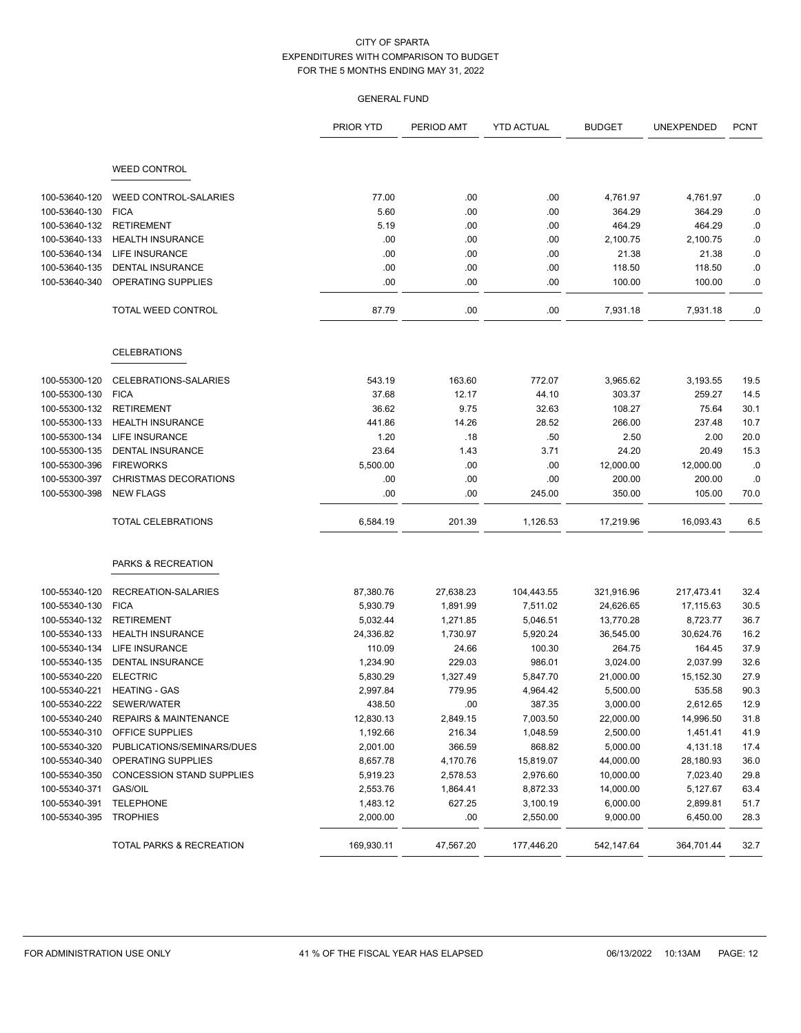|               |                                  | PRIOR YTD  | PERIOD AMT | <b>YTD ACTUAL</b> | <b>BUDGET</b> | UNEXPENDED | <b>PCNT</b> |
|---------------|----------------------------------|------------|------------|-------------------|---------------|------------|-------------|
|               | <b>WEED CONTROL</b>              |            |            |                   |               |            |             |
| 100-53640-120 | <b>WEED CONTROL-SALARIES</b>     | 77.00      | .00        | .00               | 4,761.97      | 4,761.97   | .0          |
| 100-53640-130 | <b>FICA</b>                      | 5.60       | .00        | .00               | 364.29        | 364.29     | .0          |
| 100-53640-132 | <b>RETIREMENT</b>                | 5.19       | .00        | .00               | 464.29        | 464.29     | .0          |
| 100-53640-133 | <b>HEALTH INSURANCE</b>          | .00        | .00        | .00               | 2,100.75      | 2,100.75   | .0          |
| 100-53640-134 | <b>LIFE INSURANCE</b>            | .00        | .00        | .00               | 21.38         | 21.38      | .0          |
| 100-53640-135 | <b>DENTAL INSURANCE</b>          | .00        | .00        | .00               | 118.50        | 118.50     | .0          |
| 100-53640-340 | OPERATING SUPPLIES               | .00        | .00        | .00               | 100.00        | 100.00     | .0          |
|               | TOTAL WEED CONTROL               | 87.79      | .00        | .00               | 7,931.18      | 7,931.18   | .0          |
|               | <b>CELEBRATIONS</b>              |            |            |                   |               |            |             |
| 100-55300-120 | CELEBRATIONS-SALARIES            | 543.19     | 163.60     | 772.07            | 3,965.62      | 3,193.55   | 19.5        |
| 100-55300-130 | <b>FICA</b>                      | 37.68      | 12.17      | 44.10             | 303.37        | 259.27     | 14.5        |
| 100-55300-132 | <b>RETIREMENT</b>                | 36.62      | 9.75       | 32.63             | 108.27        | 75.64      | 30.1        |
| 100-55300-133 | <b>HEALTH INSURANCE</b>          | 441.86     | 14.26      | 28.52             | 266.00        | 237.48     | 10.7        |
| 100-55300-134 | <b>LIFE INSURANCE</b>            | 1.20       | .18        | .50               | 2.50          | 2.00       | 20.0        |
| 100-55300-135 | <b>DENTAL INSURANCE</b>          | 23.64      | 1.43       | 3.71              | 24.20         | 20.49      | 15.3        |
| 100-55300-396 | <b>FIREWORKS</b>                 | 5,500.00   | .00        | .00               | 12,000.00     | 12,000.00  | .0          |
| 100-55300-397 | CHRISTMAS DECORATIONS            | .00        | .00        | .00               | 200.00        | 200.00     | .0          |
| 100-55300-398 | <b>NEW FLAGS</b>                 | .00        | .00        | 245.00            | 350.00        | 105.00     | 70.0        |
|               | <b>TOTAL CELEBRATIONS</b>        | 6,584.19   | 201.39     | 1,126.53          | 17,219.96     | 16,093.43  | 6.5         |
|               | PARKS & RECREATION               |            |            |                   |               |            |             |
| 100-55340-120 | RECREATION-SALARIES              | 87,380.76  | 27,638.23  | 104,443.55        | 321,916.96    | 217,473.41 | 32.4        |
| 100-55340-130 | <b>FICA</b>                      | 5,930.79   | 1,891.99   | 7,511.02          | 24,626.65     | 17,115.63  | 30.5        |
| 100-55340-132 | <b>RETIREMENT</b>                | 5,032.44   | 1,271.85   | 5,046.51          | 13,770.28     | 8,723.77   | 36.7        |
| 100-55340-133 | <b>HEALTH INSURANCE</b>          | 24,336.82  | 1,730.97   | 5,920.24          | 36,545.00     | 30,624.76  | 16.2        |
| 100-55340-134 | <b>LIFE INSURANCE</b>            | 110.09     | 24.66      | 100.30            | 264.75        | 164.45     | 37.9        |
| 100-55340-135 | <b>DENTAL INSURANCE</b>          | 1,234.90   | 229.03     | 986.01            | 3,024.00      | 2,037.99   | 32.6        |
| 100-55340-220 | <b>ELECTRIC</b>                  | 5,830.29   | 1,327.49   | 5,847.70          | 21,000.00     | 15,152.30  | 27.9        |
| 100-55340-221 | <b>HEATING - GAS</b>             | 2,997.84   | 779.95     | 4,964.42          | 5,500.00      | 535.58     | 90.3        |
| 100-55340-222 | SEWER/WATER                      | 438.50     | .00        | 387.35            | 3,000.00      | 2,612.65   | 12.9        |
| 100-55340-240 | <b>REPAIRS &amp; MAINTENANCE</b> | 12,830.13  | 2,849.15   | 7,003.50          | 22,000.00     | 14,996.50  | 31.8        |
| 100-55340-310 | <b>OFFICE SUPPLIES</b>           | 1,192.66   | 216.34     | 1,048.59          | 2,500.00      | 1,451.41   | 41.9        |
| 100-55340-320 | PUBLICATIONS/SEMINARS/DUES       | 2,001.00   | 366.59     | 868.82            | 5,000.00      | 4,131.18   | 17.4        |
| 100-55340-340 | OPERATING SUPPLIES               | 8,657.78   | 4,170.76   | 15,819.07         | 44,000.00     | 28,180.93  | 36.0        |
| 100-55340-350 | CONCESSION STAND SUPPLIES        | 5,919.23   | 2,578.53   | 2,976.60          | 10,000.00     | 7,023.40   | 29.8        |
| 100-55340-371 | GAS/OIL                          | 2,553.76   | 1,864.41   | 8,872.33          | 14,000.00     | 5,127.67   | 63.4        |
| 100-55340-391 | <b>TELEPHONE</b>                 | 1,483.12   | 627.25     | 3,100.19          | 6,000.00      | 2,899.81   | 51.7        |
| 100-55340-395 | <b>TROPHIES</b>                  | 2,000.00   | .00        | 2,550.00          | 9,000.00      | 6,450.00   | 28.3        |
|               | TOTAL PARKS & RECREATION         | 169,930.11 | 47,567.20  | 177,446.20        | 542,147.64    | 364,701.44 | 32.7        |